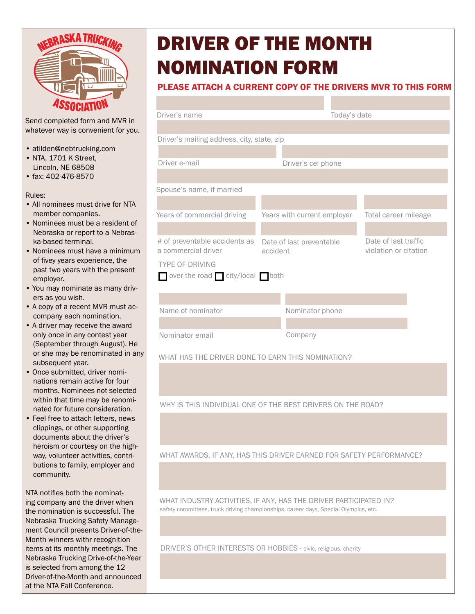

Send completed form and MVR in whatever way is convenient for you.

- atilden@nebtrucking.com
- NTA, 1701 K Street, Lincoln, NE 68508
- fax: 402-476-8570

Rules:

- All nominees must drive for NTA member companies.
- Nominees must be a resident of Nebraska or report to a Nebraska-based terminal.
- Nominees must have a minimum of fivey years experience, the past two years with the present employer.
- You may nominate as many drivers as you wish.
- A copy of a recent MVR must accompany each nomination.
- A driver may receive the award only once in any contest year (September through August). He or she may be renominated in any subsequent year.
- Once submitted, driver nominations remain active for four months. Nominees not selected within that time may be renominated for future consideration.
- Feel free to attach letters, news clippings, or other supporting documents about the driver's heroism or courtesy on the highway, volunteer activities, contributions to family, employer and community.

NTA notifies both the nominating company and the driver when the nomination is successful. The Nebraska Trucking Safety Management Council presents Driver-of-the-Month winners withr recognition items at its monthly meetings. The Nebraska Trucking Drive-of-the-Year is selected from among the 12 Driver-of-the-Month and announced at the NTA Fall Conference.

## DRIVER OF THE MONTH NOMINATION FORM

## PLEASE ATTACH A CURRENT COPY OF THE DRIVERS MVR TO THIS FORM

| Driver's name                              |                             | Today's date          |
|--------------------------------------------|-----------------------------|-----------------------|
|                                            |                             |                       |
| Driver's mailing address, city, state, zip |                             |                       |
|                                            |                             |                       |
| Driver e-mail                              | Driver's cel phone          |                       |
|                                            |                             |                       |
| Spouse's name, if married                  |                             |                       |
|                                            |                             |                       |
| Years of commercial driving                | Years with current employer | Total career mileage  |
|                                            |                             |                       |
| # of preventable accidents as              | Date of last preventable    | Date of last traffic  |
| a commercial driver                        | accident                    | violation or citation |
| <b>TYPE OF DRIVING</b>                     |                             |                       |
| over the road $\Box$ city/local both       |                             |                       |
|                                            |                             |                       |
|                                            |                             |                       |
| Name of nominator                          | Nominator phone             |                       |
|                                            |                             |                       |
| Nominator email                            | Company                     |                       |

WHAT HAS THE DRIVER DONE TO EARN THIS NOMINATION?

WHY IS THIS INDIVIDUAL ONE OF THE BEST DRIVERS ON THE ROAD?

WHAT AWARDS, IF ANY, HAS THIS DRIVER EARNED FOR SAFETY PERFORMANCE?

WHAT INDUSTRY ACTIVITIES, IF ANY, HAS THE DRIVER PARTICIPATED IN? safety committees, truck driving championships, career days, Special Olympics, etc.

DRIVER'S OTHER INTERESTS OR HOBBIES - civic, religious, charity